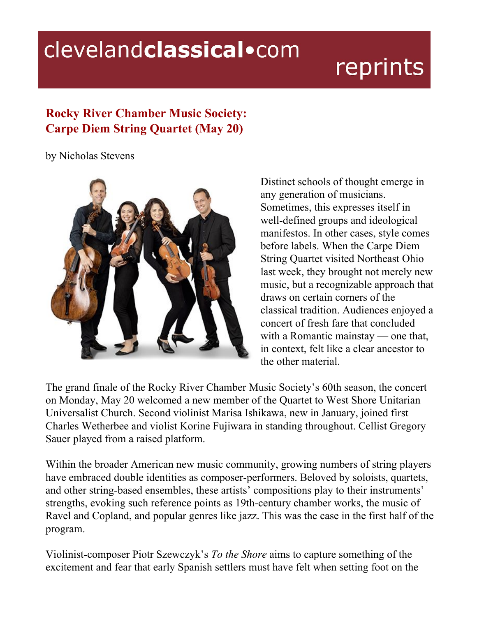## clevelandclassical.com

## reprints

## **Rocky River Chamber Music Society: Carpe Diem String Quartet (May 20)**

by Nicholas Stevens



Distinct schools of thought emerge in any generation of musicians. Sometimes, this expresses itself in well-defined groups and ideological manifestos. In other cases, style comes before labels. When the Carpe Diem String Quartet visited Northeast Ohio last week, they brought not merely new music, but a recognizable approach that draws on certain corners of the classical tradition. Audiences enjoyed a concert of fresh fare that concluded with a Romantic mainstay — one that, in context, felt like a clear ancestor to the other material.

The grand finale of the Rocky River Chamber Music Society's 60th season, the concert on Monday, May 20 welcomed a new member of the Quartet to West Shore Unitarian Universalist Church. Second violinist Marisa Ishikawa, new in January, joined first Charles Wetherbee and violist Korine Fujiwara in standing throughout. Cellist Gregory Sauer played from a raised platform.

Within the broader American new music community, growing numbers of string players have embraced double identities as composer-performers. Beloved by soloists, quartets, and other string-based ensembles, these artists' compositions play to their instruments' strengths, evoking such reference points as 19th-century chamber works, the music of Ravel and Copland, and popular genres like jazz. This was the case in the first half of the program.

Violinist-composer Piotr Szewczyk's *To the Shore* aims to capture something of the excitement and fear that early Spanish settlers must have felt when setting foot on the